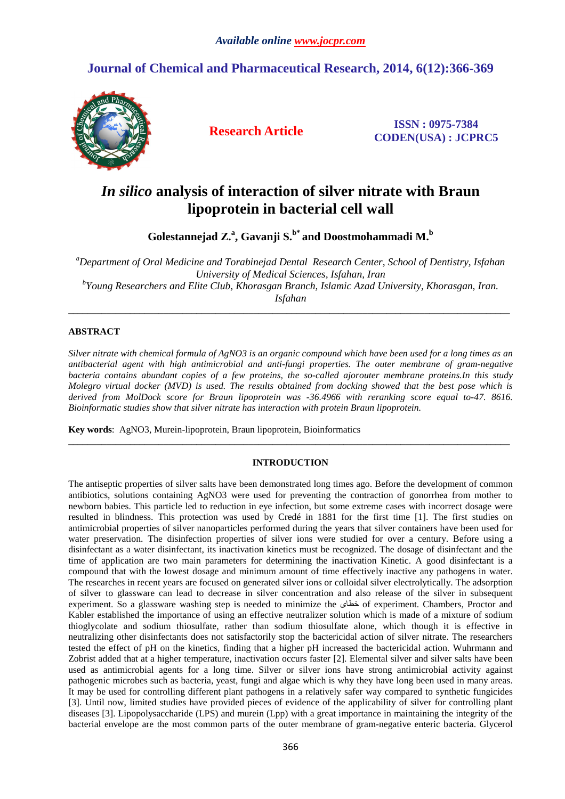## **Journal of Chemical and Pharmaceutical Research, 2014, 6(12):366-369**



**Research Article ISSN : 0975-7384 CODEN(USA) : JCPRC5**

# *In silico* **analysis of interaction of silver nitrate with Braun lipoprotein in bacterial cell wall**

**Golestannejad Z.<sup>a</sup> , Gavanji S.b\* and Doostmohammadi M.<sup>b</sup>**

*<sup>a</sup>Department of Oral Medicine and Torabinejad Dental Research Center, School of Dentistry, Isfahan University of Medical Sciences, Isfahan, Iran b Young Researchers and Elite Club, Khorasgan Branch, Islamic Azad University, Khorasgan, Iran. Isfahan* 

\_\_\_\_\_\_\_\_\_\_\_\_\_\_\_\_\_\_\_\_\_\_\_\_\_\_\_\_\_\_\_\_\_\_\_\_\_\_\_\_\_\_\_\_\_\_\_\_\_\_\_\_\_\_\_\_\_\_\_\_\_\_\_\_\_\_\_\_\_\_\_\_\_\_\_\_\_\_\_\_\_\_\_\_\_\_\_\_\_\_\_\_\_

### **ABSTRACT**

*Silver nitrate with chemical formula of AgNO3 is an organic compound which have been used for a long times as an antibacterial agent with high antimicrobial and anti-fungi properties. The outer membrane of gram-negative bacteria contains abundant copies of a few proteins, the so-called ajorouter membrane proteins.In this study Molegro virtual docker (MVD) is used. The results obtained from docking showed that the best pose which is derived from MolDock score for Braun lipoprotein was -36.4966 with reranking score equal to-47. 8616. Bioinformatic studies show that silver nitrate has interaction with protein Braun lipoprotein.* 

**Key words**: AgNO3, Murein-lipoprotein, Braun lipoprotein, Bioinformatics

#### **INTRODUCTION**

\_\_\_\_\_\_\_\_\_\_\_\_\_\_\_\_\_\_\_\_\_\_\_\_\_\_\_\_\_\_\_\_\_\_\_\_\_\_\_\_\_\_\_\_\_\_\_\_\_\_\_\_\_\_\_\_\_\_\_\_\_\_\_\_\_\_\_\_\_\_\_\_\_\_\_\_\_\_\_\_\_\_\_\_\_\_\_\_\_\_\_\_\_

The antiseptic properties of silver salts have been demonstrated long times ago. Before the development of common antibiotics, solutions containing AgNO3 were used for preventing the contraction of gonorrhea from mother to newborn babies. This particle led to reduction in eye infection, but some extreme cases with incorrect dosage were resulted in blindness. This protection was used by Credé in 1881 for the first time [1]. The first studies on antimicrobial properties of silver nanoparticles performed during the years that silver containers have been used for water preservation. The disinfection properties of silver ions were studied for over a century. Before using a disinfectant as a water disinfectant, its inactivation kinetics must be recognized. The dosage of disinfectant and the time of application are two main parameters for determining the inactivation Kinetic. A good disinfectant is a compound that with the lowest dosage and minimum amount of time effectively inactive any pathogens in water. The researches in recent years are focused on generated silver ions or colloidal silver electrolytically. The adsorption of silver to glassware can lead to decrease in silver concentration and also release of the silver in subsequent experiment. So a glassware washing step is needed to minimize the خطاى of experiment. Chambers, Proctor and Kabler established the importance of using an effective neutralizer solution which is made of a mixture of sodium thioglycolate and sodium thiosulfate, rather than sodium thiosulfate alone, which though it is effective in neutralizing other disinfectants does not satisfactorily stop the bactericidal action of silver nitrate. The researchers tested the effect of pH on the kinetics, finding that a higher pH increased the bactericidal action. Wuhrmann and Zobrist added that at a higher temperature, inactivation occurs faster [2]. Elemental silver and silver salts have been used as antimicrobial agents for a long time. Silver or silver ions have strong antimicrobial activity against pathogenic microbes such as bacteria, yeast, fungi and algae which is why they have long been used in many areas. It may be used for controlling different plant pathogens in a relatively safer way compared to synthetic fungicides [3]. Until now, limited studies have provided pieces of evidence of the applicability of silver for controlling plant diseases [3]. Lipopolysaccharide (LPS) and murein (Lpp) with a great importance in maintaining the integrity of the bacterial envelope are the most common parts of the outer membrane of gram-negative enteric bacteria. Glycerol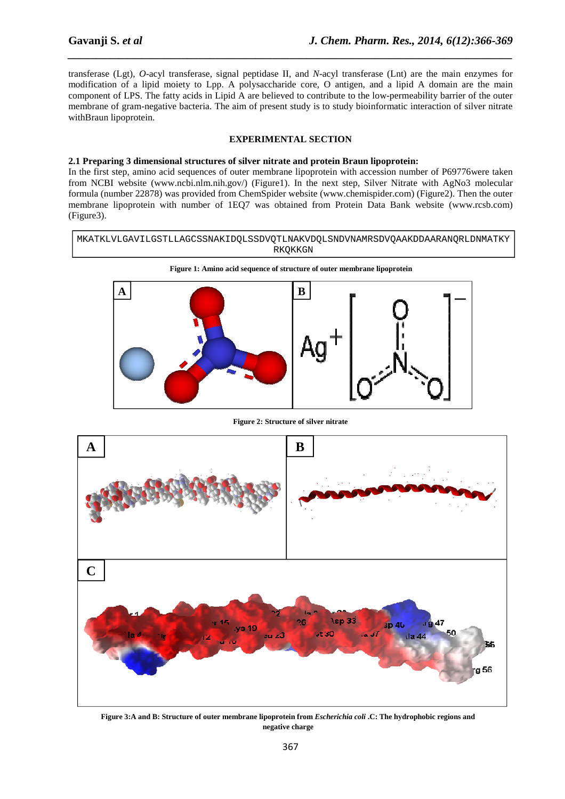transferase (Lgt), *O*-acyl transferase, signal peptidase II, and *N*-acyl transferase (Lnt) are the main enzymes for modification of a lipid moiety to Lpp. A polysaccharide core, O antigen, and a lipid A domain are the main component of LPS. The fatty acids in Lipid A are believed to contribute to the low-permeability barrier of the outer membrane of gram-negative bacteria. The aim of present study is to study bioinformatic interaction of silver nitrate withBraun lipoprotein.

*\_\_\_\_\_\_\_\_\_\_\_\_\_\_\_\_\_\_\_\_\_\_\_\_\_\_\_\_\_\_\_\_\_\_\_\_\_\_\_\_\_\_\_\_\_\_\_\_\_\_\_\_\_\_\_\_\_\_\_\_\_\_\_\_\_\_\_\_\_\_\_\_\_\_\_\_\_\_*

#### **EXPERIMENTAL SECTION**

#### **2.1 Preparing 3 dimensional structures of silver nitrate and protein Braun lipoprotein:**

In the first step, amino acid sequences of outer membrane lipoprotein with accession number of P69776were taken from NCBI website (www.ncbi.nlm.nih.gov/) (Figure1). In the next step, Silver Nitrate with AgNo3 molecular formula (number 22878) was provided from ChemSpider website (www.chemispider.com) (Figure2). Then the outer membrane lipoprotein with number of 1EQ7 was obtained from Protein Data Bank website (www.rcsb.com) (Figure3).

MKATKLVLGAVILGSTLLAGCSSNAKIDQLSSDVQTLNAKVDQLSNDVNAMRSDVQAAKDDAARANQRLDNMATKY RKQKKGN



**Figure 2: Structure of silver nitrate** 



**Figure 3:A and B: Structure of outer membrane lipoprotein from** *Escherichia coli* **.C: The hydrophobic regions and negative charge**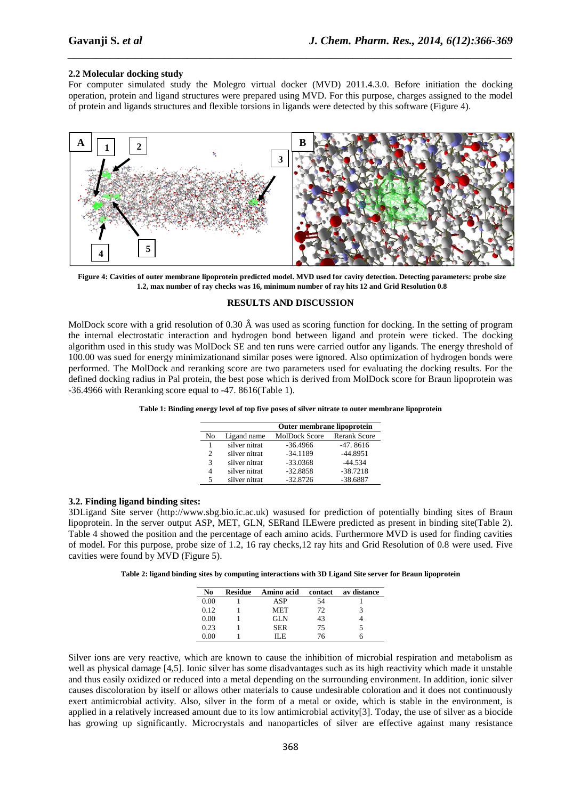#### **2.2 Molecular docking study**

For computer simulated study the Molegro virtual docker (MVD) 2011.4.3.0. Before initiation the docking operation, protein and ligand structures were prepared using MVD. For this purpose, charges assigned to the model of protein and ligands structures and flexible torsions in ligands were detected by this software (Figure 4).

*\_\_\_\_\_\_\_\_\_\_\_\_\_\_\_\_\_\_\_\_\_\_\_\_\_\_\_\_\_\_\_\_\_\_\_\_\_\_\_\_\_\_\_\_\_\_\_\_\_\_\_\_\_\_\_\_\_\_\_\_\_\_\_\_\_\_\_\_\_\_\_\_\_\_\_\_\_\_*



**Figure 4: Cavities of outer membrane lipoprotein predicted model. MVD used for cavity detection. Detecting parameters: probe size 1.2, max number of ray checks was 16, minimum number of ray hits 12 and Grid Resolution 0.8** 

#### **RESULTS AND DISCUSSION**

MolDock score with a grid resolution of 0.30 Â was used as scoring function for docking. In the setting of program the internal electrostatic interaction and hydrogen bond between ligand and protein were ticked. The docking algorithm used in this study was MolDock SE and ten runs were carried outfor any ligands. The energy threshold of 100.00 was sued for energy minimizationand similar poses were ignored. Also optimization of hydrogen bonds were performed. The MolDock and reranking score are two parameters used for evaluating the docking results. For the defined docking radius in Pal protein, the best pose which is derived from MolDock score for Braun lipoprotein was -36.4966 with Reranking score equal to -47. 8616(Table 1).

**Table 1: Binding energy level of top five poses of silver nitrate to outer membrane lipoprotein** 

|               |               | Outer membrane lipoprotein |                     |  |
|---------------|---------------|----------------------------|---------------------|--|
| Nο            | Ligand name   | MolDock Score              | <b>Rerank Score</b> |  |
|               | silver nitrat | $-36.4966$                 | $-47.8616$          |  |
| $\mathcal{D}$ | silver nitrat | $-34.1189$                 | $-44.8951$          |  |
| 3             | silver nitrat | $-33.0368$                 | $-44.534$           |  |
|               | silver nitrat | $-32.8858$                 | $-38.7218$          |  |
|               | silver nitrat | $-32.8726$                 | $-38.6887$          |  |

#### **3.2. Finding ligand binding sites:**

3DLigand Site server (http://www.sbg.bio.ic.ac.uk) wasused for prediction of potentially binding sites of Braun lipoprotein. In the server output ASP, MET, GLN, SERand ILEwere predicted as present in binding site(Table 2). Table 4 showed the position and the percentage of each amino acids. Furthermore MVD is used for finding cavities of model. For this purpose, probe size of 1.2, 16 ray checks,12 ray hits and Grid Resolution of 0.8 were used. Five cavities were found by MVD (Figure 5).

**Table 2: ligand binding sites by computing interactions with 3D Ligand Site server for Braun lipoprotein** 

| No   | <b>Residue</b> | Amino acid | contact | av distance |
|------|----------------|------------|---------|-------------|
| 0.00 |                | ASP        | 54      |             |
| 0.12 |                | MET        | 72      |             |
| 0.00 |                | GL N       | 43      |             |
| 0.23 |                | <b>SER</b> | 75      |             |
| 0.OO |                | II F       | 76      |             |

Silver ions are very reactive, which are known to cause the inhibition of microbial respiration and metabolism as well as physical damage [4,5]. Ionic silver has some disadvantages such as its high reactivity which made it unstable and thus easily oxidized or reduced into a metal depending on the surrounding environment. In addition, ionic silver causes discoloration by itself or allows other materials to cause undesirable coloration and it does not continuously exert antimicrobial activity. Also, silver in the form of a metal or oxide, which is stable in the environment, is applied in a relatively increased amount due to its low antimicrobial activity[3]. Today, the use of silver as a biocide has growing up significantly. Microcrystals and nanoparticles of silver are effective against many resistance